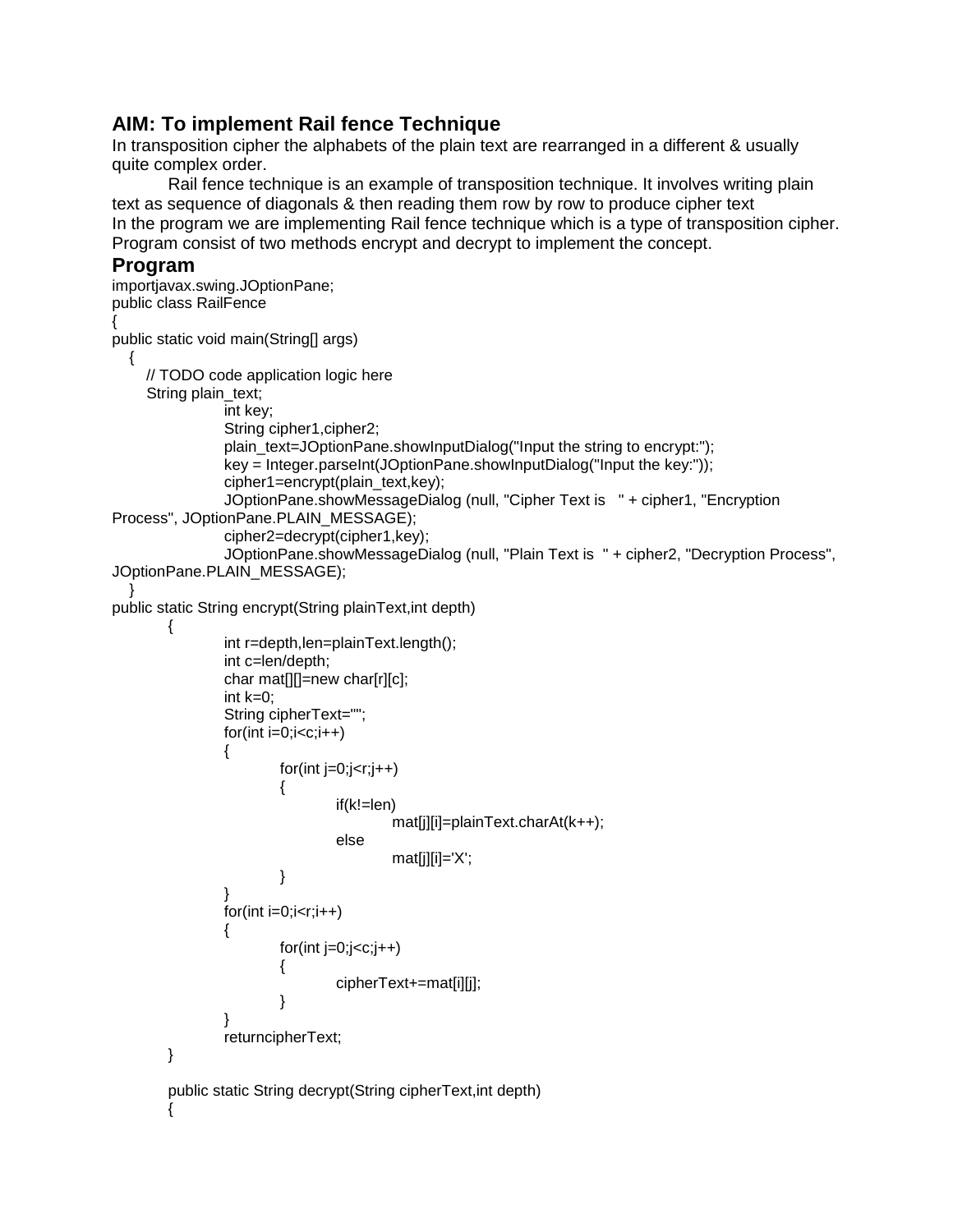## **AIM: To implement Rail fence Technique**

In transposition cipher the alphabets of the plain text are rearranged in a different & usually quite complex order.

Rail fence technique is an example of transposition technique. It involves writing plain text as sequence of diagonals & then reading them row by row to produce cipher text In the program we are implementing Rail fence technique which is a type of transposition cipher. Program consist of two methods encrypt and decrypt to implement the concept.

## **Program**

```
importjavax.swing.JOptionPane;
public class RailFence 
{
public static void main(String[] args) 
   {
      // TODO code application logic here
      String plain_text;
                int key;
                 String cipher1,cipher2;
                plain_text=JOptionPane.showInputDialog("Input the string to encrypt:");
                 key = Integer.parseInt(JOptionPane.showInputDialog("Input the key:"));
                cipher1=encrypt(plain_text,key);
                JOptionPane.showMessageDialog (null, "Cipher Text is " + cipher1, "Encryption 
Process", JOptionPane.PLAIN_MESSAGE);
                cipher2=decrypt(cipher1,key);
                JOptionPane.showMessageDialog (null, "Plain Text is " + cipher2, "Decryption Process", 
JOptionPane.PLAIN_MESSAGE);
 }
public static String encrypt(String plainText,int depth)
        {
                int r=depth,len=plainText.length();
                int c=len/depth;
                char mat[][]=new char[r][c];
                int k=0:
                 String cipherText="";
                for(int i=0;i < c;i++)
                {
                         for(int j=0; j < r; j++){
                                  if(k!=len)
                                          mat[j][i]=plainText.charAt(k++);
                                 else
                                          mat[j][i]='X';
                         }
                 }
                for(int i=0; i < r; i++){
                         for(int j=0; j < c; j++){
                                 cipherText+=mat[i][j];
                         }
                 }
                returncipherText;
        }
        public static String decrypt(String cipherText,int depth)
        {
```